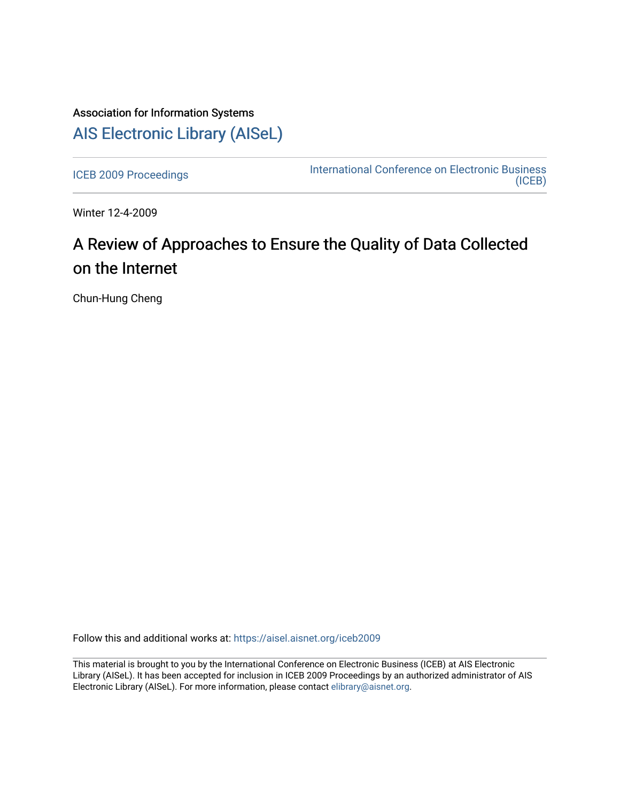## Association for Information Systems [AIS Electronic Library \(AISeL\)](https://aisel.aisnet.org/)

[ICEB 2009 Proceedings](https://aisel.aisnet.org/iceb2009) **International Conference on Electronic Business** [\(ICEB\)](https://aisel.aisnet.org/iceb) 

Winter 12-4-2009

# A Review of Approaches to Ensure the Quality of Data Collected on the Internet

Chun-Hung Cheng

Follow this and additional works at: [https://aisel.aisnet.org/iceb2009](https://aisel.aisnet.org/iceb2009?utm_source=aisel.aisnet.org%2Ficeb2009%2F34&utm_medium=PDF&utm_campaign=PDFCoverPages)

This material is brought to you by the International Conference on Electronic Business (ICEB) at AIS Electronic Library (AISeL). It has been accepted for inclusion in ICEB 2009 Proceedings by an authorized administrator of AIS Electronic Library (AISeL). For more information, please contact [elibrary@aisnet.org.](mailto:elibrary@aisnet.org%3E)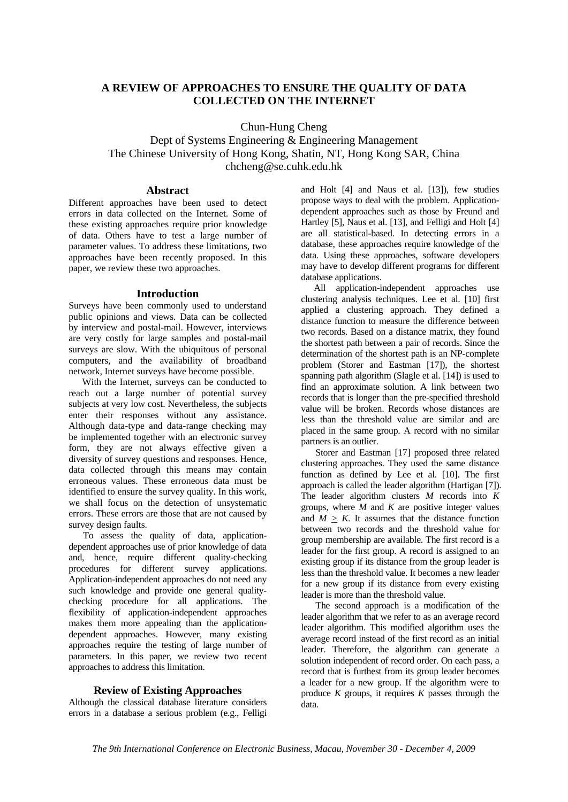### **A REVIEW OF APPROACHES TO ENSURE THE QUALITY OF DATA COLLECTED ON THE INTERNET**

Chun-Hung Cheng

Dept of Systems Engineering & Engineering Management The Chinese University of Hong Kong, Shatin, NT, Hong Kong SAR, China chcheng@se.cuhk.edu.hk

#### **Abstract**

Different approaches have been used to detect errors in data collected on the Internet. Some of these existing approaches require prior knowledge of data. Others have to test a large number of parameter values. To address these limitations, two approaches have been recently proposed. In this paper, we review these two approaches.

#### **Introduction**

Surveys have been commonly used to understand public opinions and views. Data can be collected by interview and postal-mail. However, interviews are very costly for large samples and postal-mail surveys are slow. With the ubiquitous of personal computers, and the availability of broadband network, Internet surveys have become possible.

With the Internet, surveys can be conducted to reach out a large number of potential survey subjects at very low cost. Nevertheless, the subjects enter their responses without any assistance. Although data-type and data-range checking may be implemented together with an electronic survey form, they are not always effective given a diversity of survey questions and responses. Hence, data collected through this means may contain erroneous values. These erroneous data must be identified to ensure the survey quality. In this work, we shall focus on the detection of unsystematic errors. These errors are those that are not caused by survey design faults.

To assess the quality of data, applicationdependent approaches use of prior knowledge of data and, hence, require different quality-checking procedures for different survey applications. Application-independent approaches do not need any such knowledge and provide one general qualitychecking procedure for all applications. The flexibility of application-independent approaches makes them more appealing than the applicationdependent approaches. However, many existing approaches require the testing of large number of parameters. In this paper, we review two recent approaches to address this limitation.

#### **Review of Existing Approaches**

Although the classical database literature considers errors in a database a serious problem (e.g., Felligi

and Holt [4] and Naus et al. [13]), few studies propose ways to deal with the problem. Applicationdependent approaches such as those by Freund and Hartley [5], Naus et al. [13], and Felligi and Holt [4] are all statistical-based. In detecting errors in a database, these approaches require knowledge of the data. Using these approaches, software developers may have to develop different programs for different database applications.

All application-independent approaches use clustering analysis techniques. Lee et al. [10] first applied a clustering approach. They defined a distance function to measure the difference between two records. Based on a distance matrix, they found the shortest path between a pair of records. Since the determination of the shortest path is an NP-complete problem (Storer and Eastman [17]), the shortest spanning path algorithm (Slagle et al. [14]) is used to find an approximate solution. A link between two records that is longer than the pre-specified threshold value will be broken. Records whose distances are less than the threshold value are similar and are placed in the same group. A record with no similar partners is an outlier.

Storer and Eastman [17] proposed three related clustering approaches. They used the same distance function as defined by Lee et al. [10]. The first approach is called the leader algorithm (Hartigan [7]). The leader algorithm clusters *M* records into *K* groups, where *M* and *K* are positive integer values and  $M > K$ . It assumes that the distance function between two records and the threshold value for group membership are available. The first record is a leader for the first group. A record is assigned to an existing group if its distance from the group leader is less than the threshold value. It becomes a new leader for a new group if its distance from every existing leader is more than the threshold value.

The second approach is a modification of the leader algorithm that we refer to as an average record leader algorithm. This modified algorithm uses the average record instead of the first record as an initial leader. Therefore, the algorithm can generate a solution independent of record order. On each pass, a record that is furthest from its group leader becomes a leader for a new group. If the algorithm were to produce  $K$  groups, it requires  $K$  passes through the data.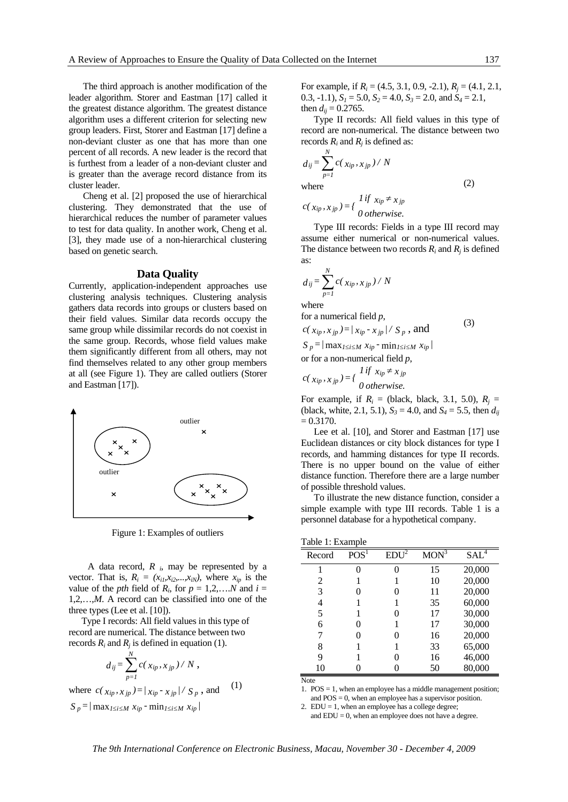The third approach is another modification of the leader algorithm. Storer and Eastman [17] called it the greatest distance algorithm. The greatest distance algorithm uses a different criterion for selecting new group leaders. First, Storer and Eastman [17] define a non-deviant cluster as one that has more than one percent of all records. A new leader is the record that is furthest from a leader of a non-deviant cluster and is greater than the average record distance from its cluster leader.

Cheng et al. [2] proposed the use of hierarchical clustering. They demonstrated that the use of hierarchical reduces the number of parameter values to test for data quality. In another work, Cheng et al. [3], they made use of a non-hierarchical clustering based on genetic search.

#### **Data Quality**

Currently, application-independent approaches use clustering analysis techniques. Clustering analysis gathers data records into groups or clusters based on their field values. Similar data records occupy the same group while dissimilar records do not coexist in the same group. Records, whose field values make them significantly different from all others, may not find themselves related to any other group members at all (see Figure 1). They are called outliers (Storer and Eastman [17]).



Figure 1: Examples of outliers

A data record, *R i*, may be represented by a vector. That is,  $R_i = (x_{i1}, x_{i2},...,x_{iN})$ , where  $x_{ip}$  is the value of the *pth* field of  $R_i$ , for  $p = 1,2,...N$  and  $i =$ 1,2,…,*M*. A record can be classified into one of the three types (Lee et al. [10]).

Type I records: All field values in this type of record are numerical. The distance between two records  $R_i$  and  $R_j$  is defined in equation (1).

$$
d_{ij} = \sum_{p=1}^N c(x_{ip}, x_{jp}) / N,
$$

where  $c(x_{ip}, x_{jp}) = |x_{ip} - x_{jp}| / S_p$ , and (1)

$$
S_p = / \max_{1 \leq i \leq M} x_{ip} \cdot \min_{1 \leq i \leq M} x_{ip} /
$$

For example, if *Ri* = (4.5, 3.1, 0.9, -2.1), *Rj* = (4.1, 2.1, 0.3, -1.1),  $S_1 = 5.0$ ,  $S_2 = 4.0$ ,  $S_3 = 2.0$ , and  $S_4 = 2.1$ , then  $d_{ii} = 0.2765$ .

Type II records: All field values in this type of record are non-numerical. The distance between two records  $R_i$  and  $R_j$  is defined as:

$$
d_{ij} = \sum_{p=1}^{N} c(x_{ip}, x_{jp}) / N
$$
  
where

$$
c(\,x_{ip},\,x_{jp}\,) = \left\{\begin{array}{c}\n\text{If } x_{ip} \neq x_{jp} \\
0 \text{ otherwise.}\n\end{array}\right.
$$

Type III records: Fields in a type III record may assume either numerical or non-numerical values. The distance between two records  $R_i$  and  $R_j$  is defined as:

$$
d_{ij} = \sum_{p=1}^{N} c(x_{ip}, x_{jp}) / N
$$

where

for a numerical field *p*,  $c(x_{in}, x_{in}) = |x_{in} - x_{in}| / S_{n}$ , and

$$
S_p = / \max_{1 \le i \le M} x_{ip} - \min_{1 \le i \le M} x_{ip} / \sum_{p \le N}
$$

or for a non-numerical field *p*,

$$
c(x_{ip}, x_{jp}) = \begin{cases} \n\text{If } x_{ip} \neq x_{jp} \\ \n0 \text{ otherwise.} \n\end{cases}
$$

For example, if  $R_i$  = (black, black, 3.1, 5.0),  $R_i$  = (black, white, 2.1, 5.1),  $S_3 = 4.0$ , and  $S_4 = 5.5$ , then  $d_{ij}$  $= 0.3170.$ 

Lee et al. [10], and Storer and Eastman [17] use Euclidean distances or city block distances for type I records, and hamming distances for type II records. There is no upper bound on the value of either distance function. Therefore there are a large number of possible threshold values.

To illustrate the new distance function, consider a simple example with type III records. Table 1 is a personnel database for a hypothetical company.

| Record | POS <sup>1</sup> | $EDI^{\frac{7}{2}}$ | MON <sup>3</sup> | SAL <sup>4</sup> |
|--------|------------------|---------------------|------------------|------------------|
|        | 0                | 0                   | 15               | 20,000           |
| 2      |                  |                     | 10               | 20,000           |
| 3      | 0                | 0                   | 11               | 20,000           |
| 4      |                  |                     | 35               | 60,000           |
| 5      |                  | 0                   | 17               | 30,000           |
| 6      | 0                |                     | 17               | 30,000           |
| 7      | 0                | 0                   | 16               | 20,000           |
| 8      | 1                | 1                   | 33               | 65,000           |
| 9      |                  | 0                   | 16               | 46,000           |
| 10     |                  |                     | 50               | 80,000           |
| Mata   |                  |                     |                  |                  |

Note

1. POS = 1, when an employee has a middle management position; and POS = 0, when an employee has a supervisor position.

2.  $EDU = 1$ , when an employee has a college degree; and  $EDU = 0$ , when an employee does not have a degree.

*The 9th International Conference on Electronic Business, Macau, November 30 - December 4, 2009* 

(2)

(3)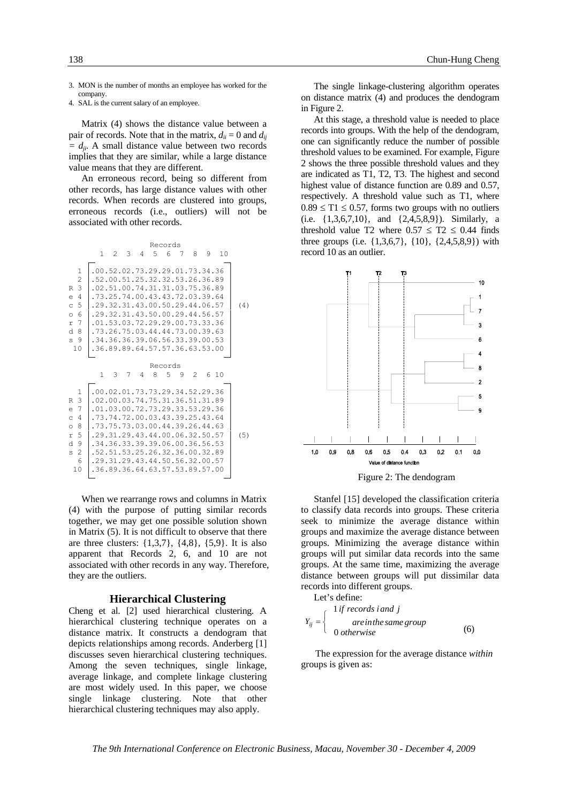3. MON is the number of months an employee has worked for the company.

4. SAL is the current salary of an employee.

Matrix (4) shows the distance value between a pair of records. Note that in the matrix,  $d_{ii} = 0$  and  $d_{ii}$  $= d_{ij}$ . A small distance value between two records implies that they are similar, while a large distance value means that they are different.

An erroneous record, being so different from other records, has large distance values with other records. When records are clustered into groups, erroneous records (i.e., outliers) will not be associated with other records.

|                                                                                                                                      |                                                                                                                                                                                                                                                                                                                                   |   |                               |   | Records |   |     |   |      |     |
|--------------------------------------------------------------------------------------------------------------------------------------|-----------------------------------------------------------------------------------------------------------------------------------------------------------------------------------------------------------------------------------------------------------------------------------------------------------------------------------|---|-------------------------------|---|---------|---|-----|---|------|-----|
|                                                                                                                                      | 1.                                                                                                                                                                                                                                                                                                                                | 2 | $\mathcal{B}$                 | 4 | 5.      | 6 | 7   | 8 | 9 10 |     |
| $\mathbf{1}$<br>$\overline{c}$<br>3<br>R<br>4<br>$\epsilon$<br>5<br>$\mathcal{C}$<br>6<br>$\circ$<br>7<br>r.<br>d.<br>8<br>s 9<br>10 | .52.00.51.25.32.32.53.26.36.89<br>.02.51.00.74.31.31.03.75.36.89<br>. 73. 25. 74.00. 43. 43. 72. 03. 39. 64<br>.29.32.31.43.00.50.29.44.06.57<br>. 29. 32. 31. 43. 50. 00. 29. 44. 56. 57<br>.01.53.03.72.29.29.00.73.33.36<br>.73.26.75.03.44.44.73.00.39.63<br>.34.36.36.39.06.56.33.39.00.53<br>.36.89.89.64.57.57.36.63.53.00 |   | 00.52.02.73.29.29.01.73.34.36 |   |         |   |     |   |      | (4) |
|                                                                                                                                      |                                                                                                                                                                                                                                                                                                                                   |   |                               |   | Records |   |     |   |      |     |
|                                                                                                                                      | 1                                                                                                                                                                                                                                                                                                                                 | 3 | 7                             | 4 | 8       | 5 | - 9 | 2 | 6 10 |     |
| 1<br>3<br>R<br>7<br>e<br>4<br>$\mathsf{C}$<br>8<br>$\circ$<br>5<br>r<br>d.<br>9<br>$\mathbf{2}$<br>S<br>6<br>10                      | .02.00.03.74.75.31.36.51.31.89<br>.01.03.00.72.73.29.33.53.29.36<br>.73.74.72.00.03.43.39.25.43.64<br>.73.75.73.03.00.44.39.26.44.63<br>. 29.31.29.43.44.00.06.32.50.57<br>.34.36.33.39.39.06.00.36.56.53<br>.52.51.53.25.26.32.36.00.32.89<br>. 29.31.29.43.44.50.56.32.00.57<br>.36.89.36.64.63.57.53.89.57.00                  |   | 00.02.01.73.73.29.34.52.29.36 |   |         |   |     |   |      | (5) |

When we rearrange rows and columns in Matrix (4) with the purpose of putting similar records together, we may get one possible solution shown in Matrix (5). It is not difficult to observe that there are three clusters:  $\{1,3,7\}$ ,  $\{4,8\}$ ,  $\{5,9\}$ . It is also apparent that Records 2, 6, and 10 are not associated with other records in any way. Therefore, they are the outliers.

#### **Hierarchical Clustering**

Cheng et al. [2] used hierarchical clustering. A hierarchical clustering technique operates on a distance matrix. It constructs a dendogram that depicts relationships among records. Anderberg [1] discusses seven hierarchical clustering techniques. Among the seven techniques, single linkage, average linkage, and complete linkage clustering are most widely used. In this paper, we choose single linkage clustering. Note that other hierarchical clustering techniques may also apply.

The single linkage-clustering algorithm operates on distance matrix (4) and produces the dendogram in Figure 2.

At this stage, a threshold value is needed to place records into groups. With the help of the dendogram, one can significantly reduce the number of possible threshold values to be examined. For example, Figure 2 shows the three possible threshold values and they are indicated as T1, T2, T3. The highest and second highest value of distance function are 0.89 and 0.57, respectively. A threshold value such as T1, where  $0.89 \leq T1 \leq 0.57$ , forms two groups with no outliers (i.e. {1,3,6,7,10}, and {2,4,5,8,9}). Similarly, a threshold value T2 where  $0.57 \leq T2 \leq 0.44$  finds three groups (i.e. {1,3,6,7}, {10}, {2,4,5,8,9}) with record 10 as an outlier.



Figure 2: The dendogram

Stanfel [15] developed the classification criteria to classify data records into groups. These criteria seek to minimize the average distance within groups and maximize the average distance between groups. Minimizing the average distance within groups will put similar data records into the same groups. At the same time, maximizing the average distance between groups will put dissimilar data records into different groups.

Let's define:

$$
Y_{ij} = \begin{cases} 1 \text{ if records i and j} \\ \text{ are in the same group} \\ 0 \text{ otherwise} \end{cases} \tag{6}
$$

The expression for the average distance *within* groups is given as: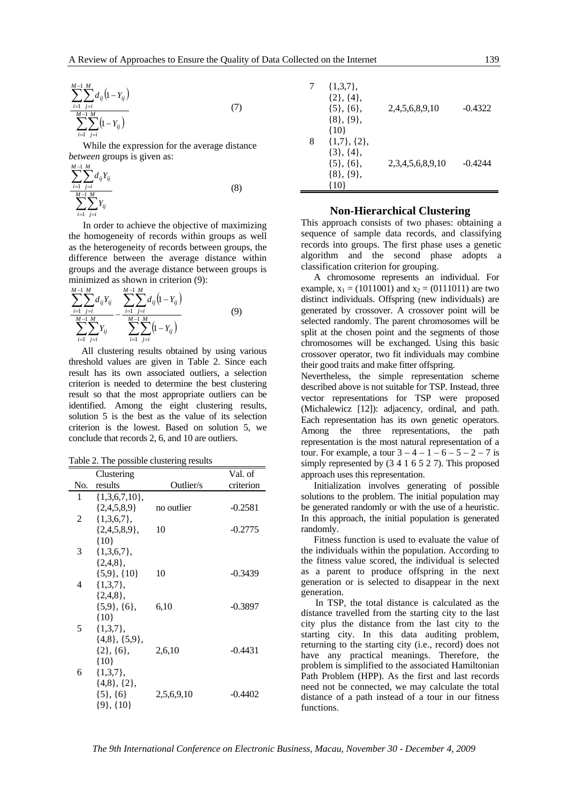$$
\sum_{i=1}^{M-1} \sum_{j=i}^{M} d_{ij} (1 - Y_{ij})
$$
\n
$$
\sum_{i=1}^{M-1} \sum_{j=i}^{M} (1 - Y_{ij})
$$
\n(7)

While the expression for the average distance *between* groups is given as:

$$
\frac{\sum_{i=1}^{M-1} \sum_{j=i}^{M} d_{ij} Y_{ij}}{\sum_{i=1}^{M-1} \sum_{j=i}^{M} Y_{ij}}
$$
(8)

In order to achieve the objective of maximizing the homogeneity of records within groups as well as the heterogeneity of records between groups, the difference between the average distance within groups and the average distance between groups is minimized as shown in criterion (9):

$$
\frac{\sum_{i=1}^{M-1} \sum_{j=i}^{M} d_{ij} Y_{ij}}{\sum_{i=1}^{M-1} \sum_{j=i}^{M} Y_{ij}} - \frac{\sum_{i=1}^{M-1} \sum_{j=i}^{M} d_{ij} (1 - Y_{ij})}{\sum_{i=1}^{M-1} \sum_{j=i}^{M} (1 - Y_{ij})}
$$
(9)

All clustering results obtained by using various threshold values are given in Table 2. Since each result has its own associated outliers, a selection criterion is needed to determine the best clustering result so that the most appropriate outliers can be identified. Among the eight clustering results, solution 5 is the best as the value of its selection criterion is the lowest. Based on solution 5, we conclude that records 2, 6, and 10 are outliers.

Table 2. The possible clustering results

|     | Clustering           |            | Val. of   |
|-----|----------------------|------------|-----------|
| No. | results              | Outlier/s  | criterion |
| 1   | $\{1,3,6,7,10\},\$   |            |           |
|     | ${2,4,5,8,9}$        | no outlier | $-0.2581$ |
| 2   | $\{1,3,6,7\}$ ,      |            |           |
|     | $\{2,4,5,8,9\}$ ,    | 10         | $-0.2775$ |
|     | ${10}$               |            |           |
| 3   | $\{1,3,6,7\}$ ,      |            |           |
|     | $\{2,4,8\}$ ,        |            |           |
|     | $\{5.9\}, \{10\}$    | 10         | $-0.3439$ |
| 4   | $\{1,3,7\}$ ,        |            |           |
|     | $\{2,4,8\}$ ,        |            |           |
|     | $\{5.9\}, \{6\},$    | 6,10       | $-0.3897$ |
|     | ${10}$               |            |           |
| 5   | $\{1,3,7\}$ ,        |            |           |
|     | $\{4,8\}, \{5,9\},\$ |            |           |
|     | $\{2\}, \{6\},\$     | 2,6,10     | -0.4431   |
|     | ${10}$               |            |           |
| 6   | $\{1,3,7\}$ ,        |            |           |
|     | $\{4,8\},\{2\},\$    |            |           |
|     | $\{5\}, \{6\}$       | 2,5,6,9,10 | $-0.4402$ |
|     | $\{9\}, \{10\}$      |            |           |

| 7 | $\{1,3,7\},\$<br>$\{2\}, \{4\},$<br>$\{5\}, \{6\},$<br>$\{8\}, \{9\},$<br>$\{10\}$ | 2,4,5,6,8,9,10   | $-0.4322$ |
|---|------------------------------------------------------------------------------------|------------------|-----------|
| 8 | $\{1,7\},\{2\},\$<br>$\{3\}, \{4\},$<br>$\{5\}, \{6\},$<br>$\{8\}, \{9\},$<br>101  | 2,3,4,5,6,8,9,10 | $-0.4244$ |

#### **Non-Hierarchical Clustering**

This approach consists of two phases: obtaining a sequence of sample data records, and classifying records into groups. The first phase uses a genetic algorithm and the second phase adopts a classification criterion for grouping.

A chromosome represents an individual. For example,  $x_1 = (1011001)$  and  $x_2 = (0111011)$  are two distinct individuals. Offspring (new individuals) are generated by crossover. A crossover point will be selected randomly. The parent chromosomes will be split at the chosen point and the segments of those chromosomes will be exchanged. Using this basic crossover operator, two fit individuals may combine their good traits and make fitter offspring.

Nevertheless, the simple representation scheme described above is not suitable for TSP. Instead, three vector representations for TSP were proposed (Michalewicz [12]): adjacency, ordinal, and path. Each representation has its own genetic operators. Among the three representations, the path representation is the most natural representation of a tour. For example, a tour  $3 - 4 - 1 - 6 - 5 - 2 - 7$  is simply represented by (3 4 1 6 5 2 7). This proposed approach uses this representation.

Initialization involves generating of possible solutions to the problem. The initial population may be generated randomly or with the use of a heuristic. In this approach, the initial population is generated randomly.

Fitness function is used to evaluate the value of the individuals within the population. According to the fitness value scored, the individual is selected as a parent to produce offspring in the next generation or is selected to disappear in the next generation.

In TSP, the total distance is calculated as the distance travelled from the starting city to the last city plus the distance from the last city to the starting city. In this data auditing problem, returning to the starting city (i.e., record) does not have any practical meanings. Therefore, the problem is simplified to the associated Hamiltonian Path Problem (HPP). As the first and last records need not be connected, we may calculate the total distance of a path instead of a tour in our fitness functions.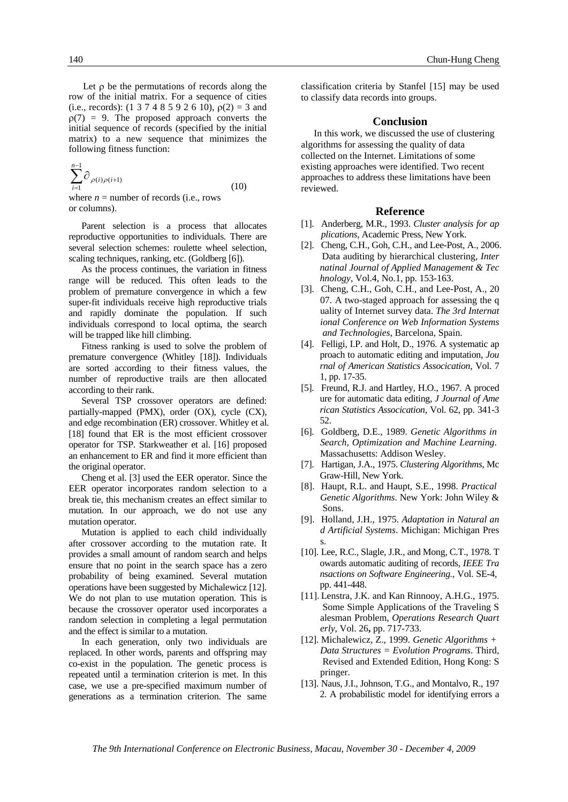Let  $\rho$  be the permutations of records along the row of the initial matrix. For a sequence of cities (i.e., records): (1 3 7 4 8 5 9 2 6 10),  $\rho(2) = 3$  and  $\rho(7) = 9$ . The proposed approach converts the initial sequence of records (specified by the initial matrix) to a new sequence that minimizes the following fitness function:

 $\sum^{n-1}$ =  $\int_{-\infty}^{1}$   $\partial_{\rho(i)\rho(i+1)}$ 1  $(i) \rho (i+1)$ *n i*  $\rho(i)\rho(i)$ where  $n =$  number of records (i.e., rows or columns). (10)

Parent selection is a process that allocates reproductive opportunities to individuals. There are several selection schemes: roulette wheel selection, scaling techniques, ranking, etc. (Goldberg [6]).

As the process continues, the variation in fitness range will be reduced. This often leads to the problem of premature convergence in which a few super-fit individuals receive high reproductive trials and rapidly dominate the population. If such individuals correspond to local optima, the search will be trapped like hill climbing.

Fitness ranking is used to solve the problem of premature convergence (Whitley [18]). Individuals are sorted according to their fitness values, the number of reproductive trails are then allocated according to their rank.

Several TSP crossover operators are defined: partially-mapped (PMX), order (OX), cycle (CX), and edge recombination (ER) crossover. Whitley et al. [18] found that ER is the most efficient crossover operator for TSP. Starkweather et al. [16] proposed an enhancement to ER and find it more efficient than the original operator.

Cheng et al. [3] used the EER operator. Since the EER operator incorporates random selection to a break tie, this mechanism creates an effect similar to mutation. In our approach, we do not use any mutation operator.

Mutation is applied to each child individually after crossover according to the mutation rate. It provides a small amount of random search and helps ensure that no point in the search space has a zero probability of being examined. Several mutation operations have been suggested by Michalewicz [12]. We do not plan to use mutation operation. This is because the crossover operator used incorporates a random selection in completing a legal permutation and the effect is similar to a mutation.

In each generation, only two individuals are replaced. In other words, parents and offspring may co-exist in the population. The genetic process is repeated until a termination criterion is met. In this case, we use a pre-specified maximum number of generations as a termination criterion. The same

classification criteria by Stanfel [15] may be used to classify data records into groups.

#### **Conclusion**

In this work, we discussed the use of clustering algorithms for assessing the quality of data collected on the Internet. Limitations of some existing approaches were identified. Two recent approaches to address these limitations have been reviewed.

#### **Reference**

- [1]. Anderberg, M.R., 1993. *Cluster analysis for ap plications*, Academic Press, New York.
- [2]. Cheng, C.H., Goh, C.H., and Lee-Post, A., 2006. Data auditing by hierarchical clustering, *Inter natinal Journal of Applied Management & Tec hnology*, Vol.4, No.1, pp. 153-163.
- [3]. Cheng, C.H., Goh, C.H., and Lee-Post, A., 20 07. A two-staged approach for assessing the q uality of Internet survey data. *The 3rd Internat ional Conference on Web Information Systems and Technologies*, Barcelona, Spain.
- [4]. Felligi, I.P. and Holt, D., 1976. A systematic ap proach to automatic editing and imputation, *Jou rnal of American Statistics Assocication*, Vol. 7 1, pp. 17-35.
- [5]. Freund, R.J. and Hartley, H.O., 1967. A proced ure for automatic data editing, *J Journal of Ame rican Statistics Assocication*, Vol. 62, pp. 341-3 52.
- [6]. Goldberg, D.E., 1989. *Genetic Algorithms in Search, Optimization and Machine Learning*. Massachusetts: Addison Wesley.
- [7]. Hartigan, J.A., 1975. *Clustering Algorithms*, Mc Graw-Hill, New York.
- [8]. Haupt, R.L. and Haupt, S.E., 1998. *Practical Genetic Algorithms*. New York: John Wiley & Sons.
- [9]. Holland, J.H., 1975. *Adaptation in Natural an d Artificial Systems*. Michigan: Michigan Pres s.
- [10]. Lee, R.C., Slagle, J.R., and Mong, C.T., 1978. T owards automatic auditing of records, *IEEE Tra nsactions on Software Engineering.*, Vol. SE-4, pp. 441-448.
- [11]. Lenstra, J.K. and Kan Rinnooy, A.H.G., 1975. Some Simple Applications of the Traveling S alesman Problem, *Operations Research Quart erly*, Vol. 26**,** pp. 717-733.
- [12]. Michalewicz, Z., 1999. *Genetic Algorithms + Data Structures = Evolution Programs*. Third, Revised and Extended Edition, Hong Kong: S pringer.
- [13]. Naus, J.I., Johnson, T.G., and Montalvo, R., 197 2. A probabilistic model for identifying errors a